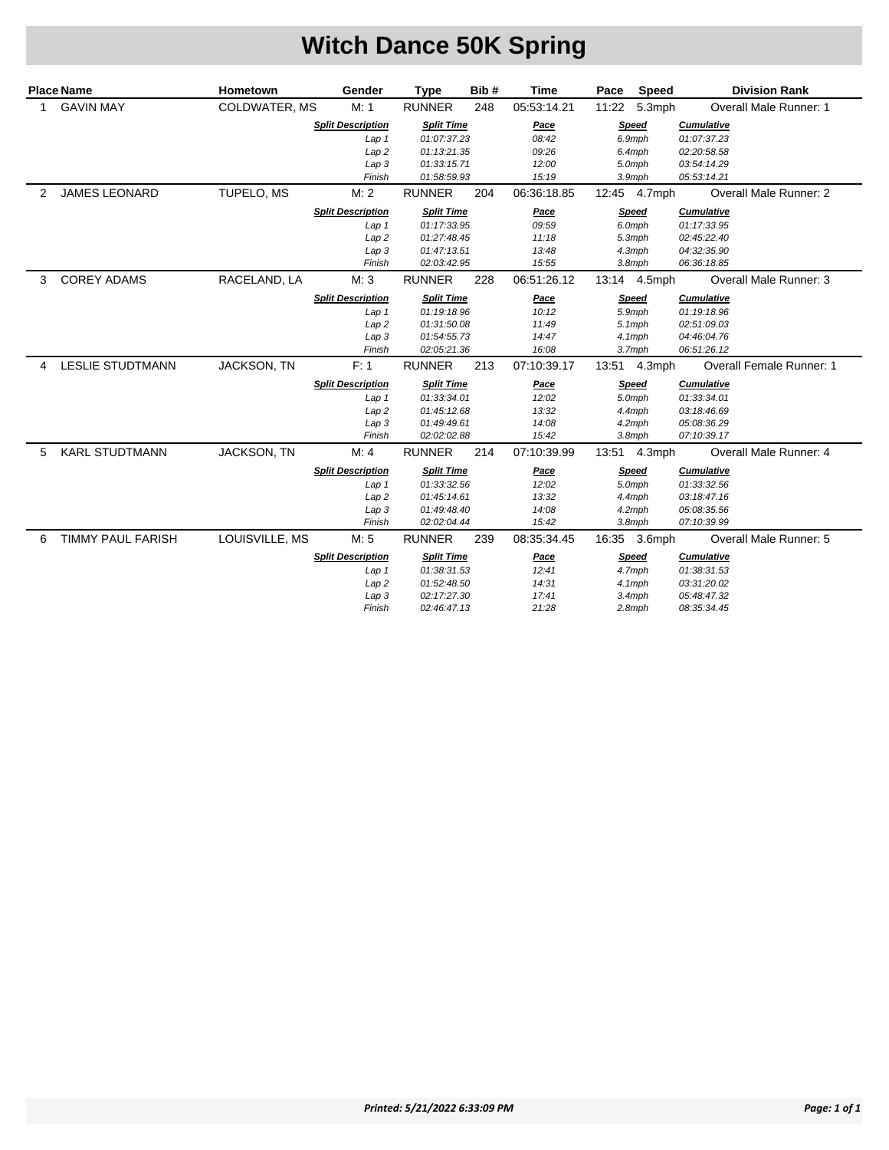## **Witch Dance 50K Spring**

|   | <b>Place Name</b>        | Hometown           | Gender                   | <b>Type</b>       | Bib# | Time        | Pace Speed   | <b>Division Rank</b>          |
|---|--------------------------|--------------------|--------------------------|-------------------|------|-------------|--------------|-------------------------------|
| 1 | <b>GAVIN MAY</b>         | COLDWATER, MS      | M: 1                     | <b>RUNNER</b>     | 248  | 05:53:14.21 | 11:22 5.3mph | <b>Overall Male Runner: 1</b> |
|   |                          |                    | <b>Split Description</b> | <b>Split Time</b> |      | Pace        | Speed        | <b>Cumulative</b>             |
|   |                          |                    | Lap 1                    | 01:07:37.23       |      | 08:42       | 6.9mph       | 01:07:37.23                   |
|   |                          |                    | Lap 2                    | 01:13:21.35       |      | 09:26       | 6.4mph       | 02:20:58.58                   |
|   |                          |                    | Lap 3                    | 01:33:15.71       |      | 12:00       | 5.0mph       | 03:54:14.29                   |
|   |                          |                    | Finish                   | 01:58:59.93       |      | 15:19       | 3.9mph       | 05:53:14.21                   |
| 2 | <b>JAMES LEONARD</b>     | TUPELO, MS         | M: 2                     | <b>RUNNER</b>     | 204  | 06:36:18.85 | 12:45 4.7mph | <b>Overall Male Runner: 2</b> |
|   |                          |                    | <b>Split Description</b> | <b>Split Time</b> |      | Pace        | Speed        | <b>Cumulative</b>             |
|   |                          |                    | Lap <sub>1</sub>         | 01:17:33.95       |      | 09:59       | 6.0mph       | 01:17:33.95                   |
|   |                          |                    | Lap <sub>2</sub>         | 01:27:48.45       |      | 11:18       | 5.3mph       | 02:45:22.40                   |
|   |                          |                    | Lap 3                    | 01:47:13.51       |      | 13:48       | 4.3mph       | 04:32:35.90                   |
|   |                          |                    | Finish                   | 02:03:42.95       |      | 15:55       | $3.8$ mph    | 06:36:18.85                   |
| 3 | <b>COREY ADAMS</b>       | RACELAND, LA       | M: 3                     | <b>RUNNER</b>     | 228  | 06:51:26.12 | 13:14 4.5mph | Overall Male Runner: 3        |
|   |                          |                    | <b>Split Description</b> | <b>Split Time</b> |      | Pace        | Speed        | <b>Cumulative</b>             |
|   |                          |                    | Lap <sub>1</sub>         | 01:19:18.96       |      | 10:12       | 5.9mph       | 01:19:18.96                   |
|   |                          |                    | Lap <sub>2</sub>         | 01:31:50.08       |      | 11:49       | $5.1$ mph    | 02:51:09.03                   |
|   |                          |                    | Lap <sub>3</sub>         | 01:54:55.73       |      | 14:47       | 4.1mph       | 04:46:04.76                   |
|   |                          |                    | Finish                   | 02:05:21.36       |      | 16:08       | 3.7mph       | 06:51:26.12                   |
| 4 | <b>LESLIE STUDTMANN</b>  | <b>JACKSON, TN</b> | F: 1                     | <b>RUNNER</b>     | 213  | 07:10:39.17 | 13:51 4.3mph | Overall Female Runner: 1      |
|   |                          |                    | <b>Split Description</b> | <b>Split Time</b> |      | Pace        | Speed        | <b>Cumulative</b>             |
|   |                          |                    | Lap 1                    | 01:33:34.01       |      | 12:02       | 5.0mph       | 01:33:34.01                   |
|   |                          |                    | Lap 2                    | 01:45:12.68       |      | 13:32       | 4.4mph       | 03:18:46.69                   |
|   |                          |                    | Lap 3                    | 01:49:49.61       |      | 14:08       | 4.2mph       | 05:08:36.29                   |
|   |                          |                    | Finish                   | 02:02:02.88       |      | 15:42       | 3.8mph       | 07:10:39.17                   |
| 5 | <b>KARL STUDTMANN</b>    | <b>JACKSON, TN</b> | M: 4                     | <b>RUNNER</b>     | 214  | 07:10:39.99 | 13:51 4.3mph | Overall Male Runner: 4        |
|   |                          |                    | <b>Split Description</b> | <b>Split Time</b> |      | <u>Pace</u> | Speed        | <b>Cumulative</b>             |
|   |                          |                    | Lap 1                    | 01:33:32.56       |      | 12:02       | 5.0mph       | 01:33:32.56                   |
|   |                          |                    | Lap <sub>2</sub>         | 01:45:14.61       |      | 13:32       | 4.4mph       | 03:18:47.16                   |
|   |                          |                    | Lap 3                    | 01:49:48.40       |      | 14:08       | $4.2$ mph    | 05:08:35.56                   |
|   |                          |                    | Finish                   | 02:02:04.44       |      | 15:42       | $3.8$ mph    | 07:10:39.99                   |
| 6 | <b>TIMMY PAUL FARISH</b> | LOUISVILLE, MS     | M: 5                     | <b>RUNNER</b>     | 239  | 08:35:34.45 | 16:35 3.6mph | Overall Male Runner: 5        |
|   |                          |                    | <b>Split Description</b> | <b>Split Time</b> |      | <u>Pace</u> | Speed        | <b>Cumulative</b>             |
|   |                          |                    | Lap <sub>1</sub>         | 01:38:31.53       |      | 12:41       | 4.7mph       | 01:38:31.53                   |
|   |                          |                    | Lap 2                    | 01:52:48.50       |      | 14:31       | 4.1mph       | 03:31:20.02                   |
|   |                          |                    | Lap 3                    | 02:17:27.30       |      | 17:41       | 3.4mph       | 05:48:47.32                   |
|   |                          |                    | Finish                   | 02:46:47.13       |      | 21:28       | 2.8mph       | 08:35:34.45                   |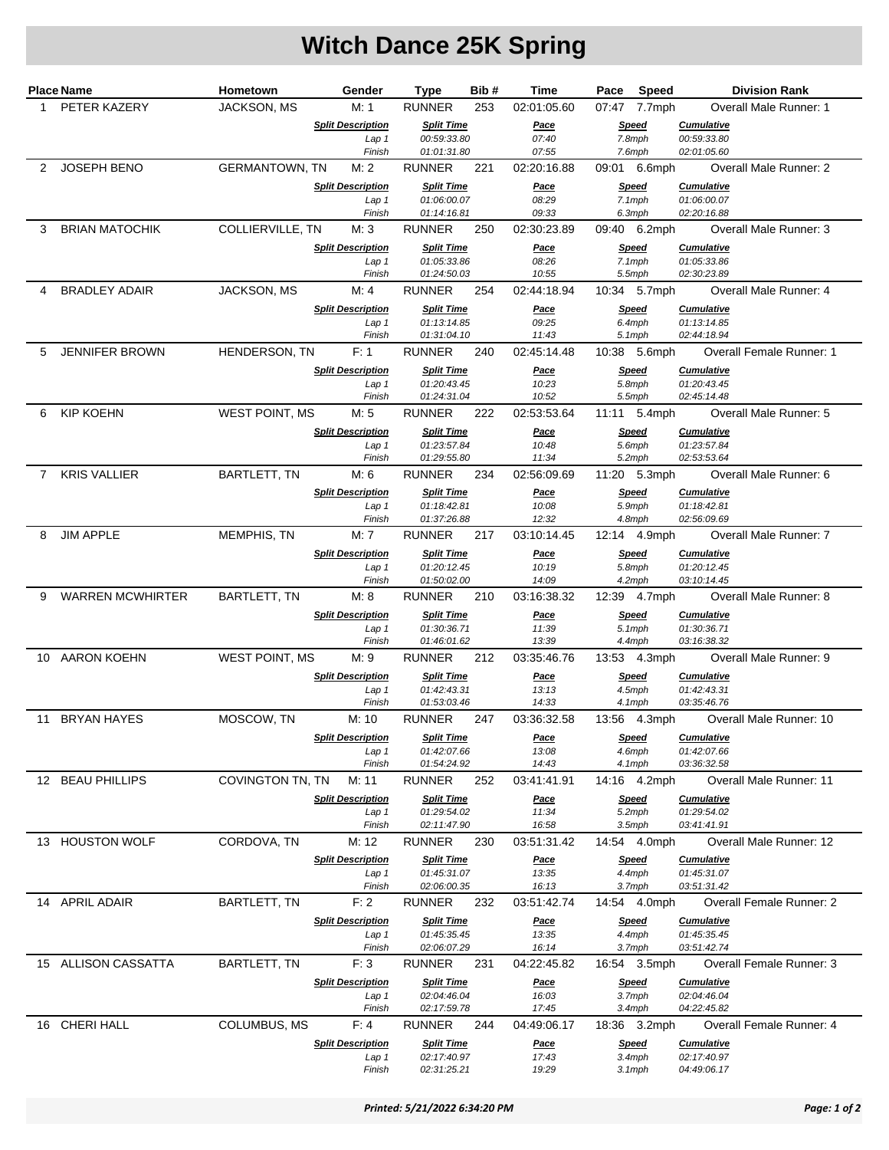# **Witch Dance 25K Spring**

|   | <b>Place Name</b>     | Hometown              | Gender                                       | Type                             | Bib# | Time                 | Pace                   | Speed        | <b>Division Rank</b>                    |
|---|-----------------------|-----------------------|----------------------------------------------|----------------------------------|------|----------------------|------------------------|--------------|-----------------------------------------|
| 1 | PETER KAZERY          | JACKSON, MS           | M: 1                                         | <b>RUNNER</b>                    | 253  | 02:01:05.60          |                        | 07:47 7.7mph | Overall Male Runner: 1                  |
|   |                       |                       | <b>Split Description</b>                     | <b>Split Time</b>                |      | <u>Pace</u>          |                        | <b>Speed</b> | <b>Cumulative</b>                       |
|   |                       |                       | Lap 1<br>Finish                              | 00:59:33.80<br>01:01:31.80       |      | 07:40<br>07:55       | 7.8mph<br>7.6mph       |              | 00:59:33.80<br>02:01:05.60              |
| 2 | <b>JOSEPH BENO</b>    | <b>GERMANTOWN, TN</b> | M: 2                                         | <b>RUNNER</b>                    | 221  | 02:20:16.88          |                        | 09:01 6.6mph | Overall Male Runner: 2                  |
|   |                       |                       | <b>Split Description</b>                     | <b>Split Time</b>                |      | <u>Pace</u>          |                        | <b>Speed</b> | <b>Cumulative</b>                       |
|   |                       |                       | Lap 1                                        | 01:06:00.07                      |      | 08:29                | $7.1$ mph              |              | 01:06:00.07                             |
|   |                       |                       | Finish                                       | 01:14:16.81                      |      | 09:33                | 6.3mph                 |              | 02:20:16.88                             |
| 3 | <b>BRIAN MATOCHIK</b> | COLLIERVILLE, TN      | M: 3                                         | <b>RUNNER</b>                    | 250  | 02:30:23.89          |                        | 09:40 6.2mph | Overall Male Runner: 3                  |
|   |                       |                       | <b>Split Description</b>                     | <b>Split Time</b>                |      | <u>Pace</u>          |                        | <u>Speed</u> | <b>Cumulative</b>                       |
|   |                       |                       | Lap 1<br>Finish                              | 01:05:33.86<br>01:24:50.03       |      | 08:26<br>10:55       | $7.1$ mph<br>$5.5$ mph |              | 01:05:33.86<br>02:30:23.89              |
| 4 | <b>BRADLEY ADAIR</b>  | JACKSON, MS           | M: 4                                         | <b>RUNNER</b>                    | 254  | 02:44:18.94          |                        | 10:34 5.7mph | Overall Male Runner: 4                  |
|   |                       |                       | <b>Split Description</b>                     | <b>Split Time</b>                |      | <u>Pace</u>          |                        | <b>Speed</b> | <b>Cumulative</b>                       |
|   |                       |                       | Lap 1                                        | 01:13:14.85                      |      | 09:25                | 6.4mph                 |              | 01:13:14.85                             |
|   |                       |                       | Finish                                       | 01:31:04.10                      |      | 11:43                | $5.1$ mph              |              | 02:44:18.94                             |
| 5 | <b>JENNIFER BROWN</b> | HENDERSON, TN         | F: 1                                         | <b>RUNNER</b>                    | 240  | 02:45:14.48          |                        | 10:38 5.6mph | <b>Overall Female Runner: 1</b>         |
|   |                       |                       | <b>Split Description</b>                     | <b>Split Time</b>                |      | <u>Pace</u>          |                        | <b>Speed</b> | <b>Cumulative</b>                       |
|   |                       |                       | Lap 1<br>Finish                              | 01:20:43.45<br>01:24:31.04       |      | 10:23<br>10:52       | 5.8mph<br>5.5mph       |              | 01:20:43.45<br>02:45:14.48              |
| 6 | <b>KIP KOEHN</b>      | <b>WEST POINT, MS</b> | M: 5                                         | <b>RUNNER</b>                    | 222  | 02:53:53.64          |                        | 11:11 5.4mph | Overall Male Runner: 5                  |
|   |                       |                       | <b>Split Description</b>                     | <b>Split Time</b>                |      | <u>Pace</u>          |                        | <b>Speed</b> | <b>Cumulative</b>                       |
|   |                       |                       | Lap 1                                        | 01:23:57.84                      |      | 10:48                | 5.6mph                 |              | 01:23:57.84                             |
|   |                       |                       | Finish                                       | 01:29:55.80                      |      | 11:34                | 5.2mph                 |              | 02:53:53.64                             |
|   | 7 KRIS VALLIER        | <b>BARTLETT, TN</b>   | M: 6                                         | <b>RUNNER</b>                    | 234  | 02:56:09.69          |                        | 11:20 5.3mph | Overall Male Runner: 6                  |
|   |                       |                       | <b>Split Description</b>                     | <b>Split Time</b>                |      | <u>Pace</u>          |                        | <b>Speed</b> | <b>Cumulative</b>                       |
|   |                       |                       | Lap 1<br>Finish                              | 01:18:42.81<br>01:37:26.88       |      | 10:08<br>12:32       | 5.9mph<br>4.8mph       |              | 01:18:42.81<br>02:56:09.69              |
| 8 | <b>JIM APPLE</b>      | MEMPHIS, TN           | M: 7                                         | <b>RUNNER</b>                    | 217  | 03:10:14.45          |                        | 12:14 4.9mph | Overall Male Runner: 7                  |
|   |                       |                       | <b>Split Description</b>                     | <b>Split Time</b>                |      | <u>Pace</u>          |                        | Speed        | <b>Cumulative</b>                       |
|   |                       |                       | Lap 1                                        | 01:20:12.45                      |      | 10:19                | 5.8mph                 |              | 01:20:12.45                             |
|   |                       |                       | Finish                                       | 01:50:02.00                      |      | 14:09                | 4.2mph                 |              | 03:10:14.45                             |
| 9 | WARREN MCWHIRTER      | <b>BARTLETT, TN</b>   | M: 8                                         | <b>RUNNER</b>                    | 210  | 03:16:38.32          |                        | 12:39 4.7mph | Overall Male Runner: 8                  |
|   |                       |                       | <b>Split Description</b><br>Lap <sub>1</sub> | <b>Split Time</b><br>01:30:36.71 |      | Pace<br>11:39        | $5.1$ mph              | <b>Speed</b> | <b>Cumulative</b><br>01:30:36.71        |
|   |                       |                       | Finish                                       | 01:46:01.62                      |      | 13:39                | 4.4mph                 |              | 03:16:38.32                             |
|   | 10 AARON KOEHN        | WEST POINT, MS        | M: 9                                         | <b>RUNNER</b>                    | 212  | 03:35:46.76          |                        | 13:53 4.3mph | Overall Male Runner: 9                  |
|   |                       |                       | <b>Split Description</b>                     | <b>Split Time</b>                |      | <u>Pace</u>          |                        | <b>Speed</b> | <b>Cumulative</b>                       |
|   |                       |                       | Lap 1                                        | 01:42:43.31                      |      | 13:13                | 4.5mph                 |              | 01:42:43.31                             |
|   |                       |                       | Finish                                       | 01:53:03.46                      |      | 14:33                | $4.1$ mph              |              | 03:35:46.76                             |
|   | 11 BRYAN HAYES        | MOSCOW, TN            | M: 10                                        | <b>RUNNER</b>                    | 247  | 03:36:32.58          |                        | 13:56 4.3mph | Overall Male Runner: 10                 |
|   |                       |                       | <b>Split Description</b><br>Lap 1            | <b>Split Time</b><br>01:42:07.66 |      | <u>Pace</u><br>13:08 | <b>Speed</b><br>4.6mph |              | <b>Cumulative</b><br>01:42:07.66        |
|   |                       |                       | Finish                                       | 01:54:24.92                      |      | 14:43                | 4.1mph                 |              | 03:36:32.58                             |
|   | 12 BEAU PHILLIPS      | COVINGTON TN, TN      | M: 11                                        | <b>RUNNER</b>                    | 252  | 03:41:41.91          |                        | 14:16 4.2mph | Overall Male Runner: 11                 |
|   |                       |                       | <b>Split Description</b>                     | <b>Split Time</b>                |      | <u>Pace</u>          |                        | Speed        | <b>Cumulative</b>                       |
|   |                       |                       | Lap 1                                        | 01:29:54.02                      |      | 11:34                | 5.2mph                 |              | 01:29:54.02                             |
|   | 13 HOUSTON WOLF       | CORDOVA, TN           | Finish<br>M: 12                              | 02:11:47.90<br><b>RUNNER</b>     | 230  | 16:58<br>03:51:31.42 | $3.5$ mph              |              | 03:41:41.91<br>Overall Male Runner: 12  |
|   |                       |                       |                                              |                                  |      |                      |                        | 14:54 4.0mph |                                         |
|   |                       |                       | <b>Split Description</b><br>Lap 1            | <b>Split Time</b><br>01:45:31.07 |      | <u>Pace</u><br>13:35 | 4.4mph                 | Speed        | <b>Cumulative</b><br>01:45:31.07        |
|   |                       |                       | Finish                                       | 02:06:00.35                      |      | 16:13                | 3.7mph                 |              | 03:51:31.42                             |
|   | 14 APRIL ADAIR        | <b>BARTLETT, TN</b>   | F: 2                                         | <b>RUNNER</b>                    | 232  | 03:51:42.74          |                        | 14:54 4.0mph | <b>Overall Female Runner: 2</b>         |
|   |                       |                       | <b>Split Description</b>                     | <b>Split Time</b>                |      | <u>Pace</u>          |                        | <b>Speed</b> | <b>Cumulative</b>                       |
|   |                       |                       | Lap 1                                        | 01:45:35.45                      |      | 13:35                | 4.4mph                 |              | 01:45:35.45                             |
|   | 15 ALLISON CASSATTA   | <b>BARTLETT, TN</b>   | Finish<br>F:3                                | 02:06:07.29<br><b>RUNNER</b>     | 231  | 16:14<br>04:22:45.82 | 3.7mph                 | 16:54 3.5mph | 03:51:42.74<br>Overall Female Runner: 3 |
|   |                       |                       |                                              |                                  |      |                      |                        |              |                                         |
|   |                       |                       | <b>Split Description</b><br>Lap 1            | <b>Split Time</b><br>02:04:46.04 |      | <u>Pace</u><br>16:03 | 3.7mph                 | <b>Speed</b> | <b>Cumulative</b><br>02:04:46.04        |
|   |                       |                       | Finish                                       | 02:17:59.78                      |      | 17:45                | 3.4mph                 |              | 04:22:45.82                             |
|   | 16 CHERI HALL         | COLUMBUS, MS          | F: 4                                         | <b>RUNNER</b>                    | 244  | 04:49:06.17          |                        | 18:36 3.2mph | Overall Female Runner: 4                |
|   |                       |                       | <b>Split Description</b>                     | <b>Split Time</b>                |      | <u>Pace</u>          |                        | <b>Speed</b> | <b>Cumulative</b>                       |
|   |                       |                       | Lap 1                                        | 02:17:40.97                      |      | 17:43                | $3.4$ mph              |              | 02:17:40.97                             |
|   |                       |                       | Finish                                       | 02:31:25.21                      |      | 19:29                | $3.1$ mph              |              | 04:49:06.17                             |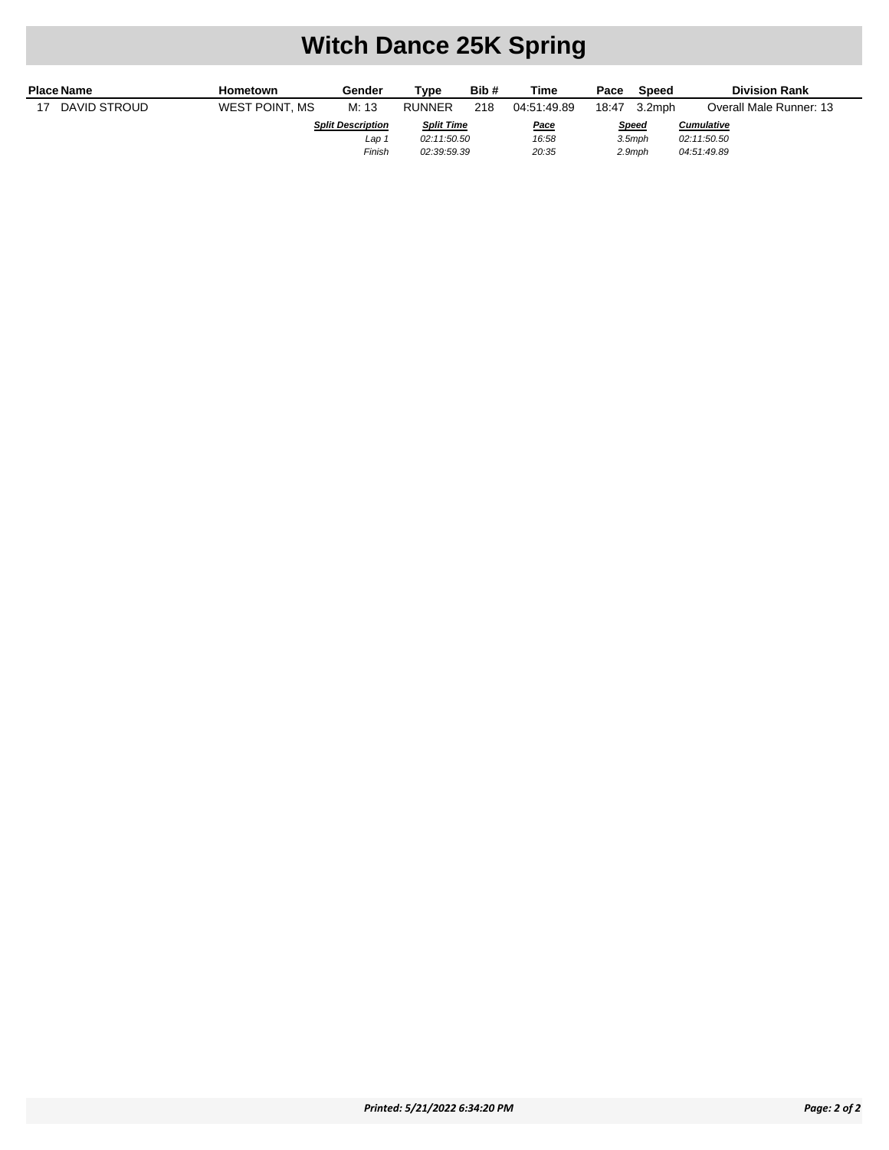### **Witch Dance 25K Spring**

| <b>Place Name</b> | Hometown       | Gender                   | Type              | Bib#        | Time        | Pace         | Speed  | <b>Division Rank</b>    |
|-------------------|----------------|--------------------------|-------------------|-------------|-------------|--------------|--------|-------------------------|
| DAVID STROUD      | WEST POINT, MS | M: 13                    | <b>RUNNER</b>     | 218         | 04.51.49.89 | 18:47        | 3.2mph | Overall Male Runner: 13 |
|                   |                | <b>Split Description</b> | <b>Split Time</b> |             | <u>Pace</u> | <b>Speed</b> |        | <b>Cumulative</b>       |
|                   |                | Lap 1                    | 02:11:50.50       |             | 16:58       | $3.5$ mph    |        | 02:11:50.50             |
|                   |                | Finish                   |                   | 02:39:59.39 | 20:35       |              | 2.9mph | 04:51:49.89             |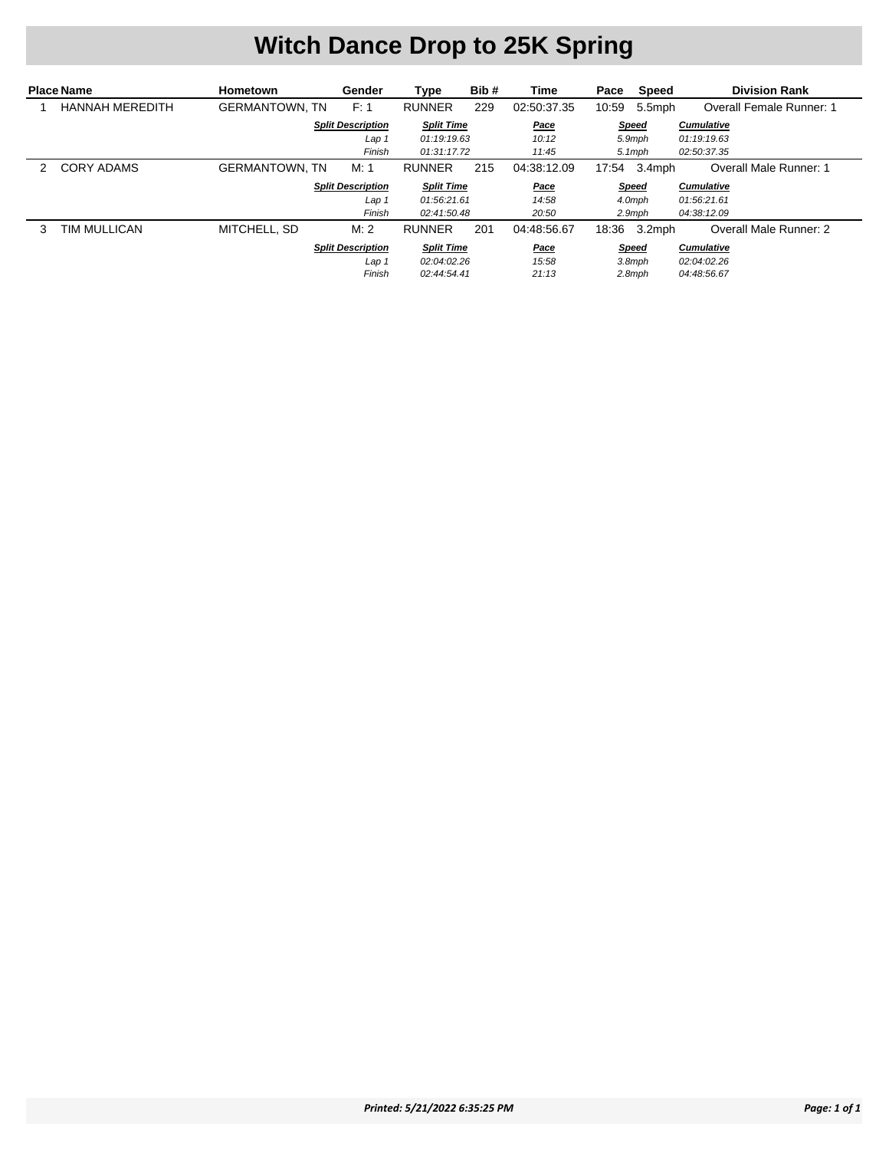# **Witch Dance Drop to 25K Spring**

| <b>Place Name</b> |                        | <b>Hometown</b>       | Gender                   | Type              | Bib# | Time        | Speed<br>Pace   | <b>Division Rank</b>     |
|-------------------|------------------------|-----------------------|--------------------------|-------------------|------|-------------|-----------------|--------------------------|
|                   | <b>HANNAH MEREDITH</b> | <b>GERMANTOWN, TN</b> | F: 1                     | <b>RUNNER</b>     | 229  | 02:50:37.35 | 10:59<br>5.5mph | Overall Female Runner: 1 |
|                   |                        |                       | <b>Split Description</b> | <b>Split Time</b> |      | Pace        | <b>Speed</b>    | <b>Cumulative</b>        |
|                   |                        |                       | Lap 1                    | 01:19:19.63       |      | 10:12       | 5.9mph          | 01:19:19.63              |
|                   |                        |                       | Finish                   | 01:31:17.72       |      | 11:45       | $5.1$ mph       | 02:50:37.35              |
|                   | CORY ADAMS             | <b>GERMANTOWN, TN</b> | M: 1                     | <b>RUNNER</b>     | 215  | 04:38:12.09 | 17:54 3.4mph    | Overall Male Runner: 1   |
|                   |                        |                       | <b>Split Description</b> | <b>Split Time</b> |      | <u>Pace</u> | <b>Speed</b>    | <b>Cumulative</b>        |
|                   |                        |                       | Lap 1                    | 01:56:21.61       |      | 14:58       | 4.0mph          | 01:56:21.61              |
|                   |                        |                       | Finish                   | 02:41:50.48       |      | 20:50       | $2.9$ mph       | 04:38:12.09              |
| 3                 | TIM MULLICAN           | MITCHELL, SD          | M:2                      | <b>RUNNER</b>     | 201  | 04:48:56.67 | 3.2mph<br>18:36 | Overall Male Runner: 2   |
|                   |                        |                       | <b>Split Description</b> | <b>Split Time</b> |      | <u>Pace</u> | <b>Speed</b>    | <b>Cumulative</b>        |
|                   |                        |                       | Lap 1                    | 02:04:02.26       |      | 15:58       | $3.8$ mph       | 02:04:02.26              |
|                   |                        |                       | Finish                   | 02:44:54.41       |      | 21:13       | $2.8$ mph       | 04:48:56.67              |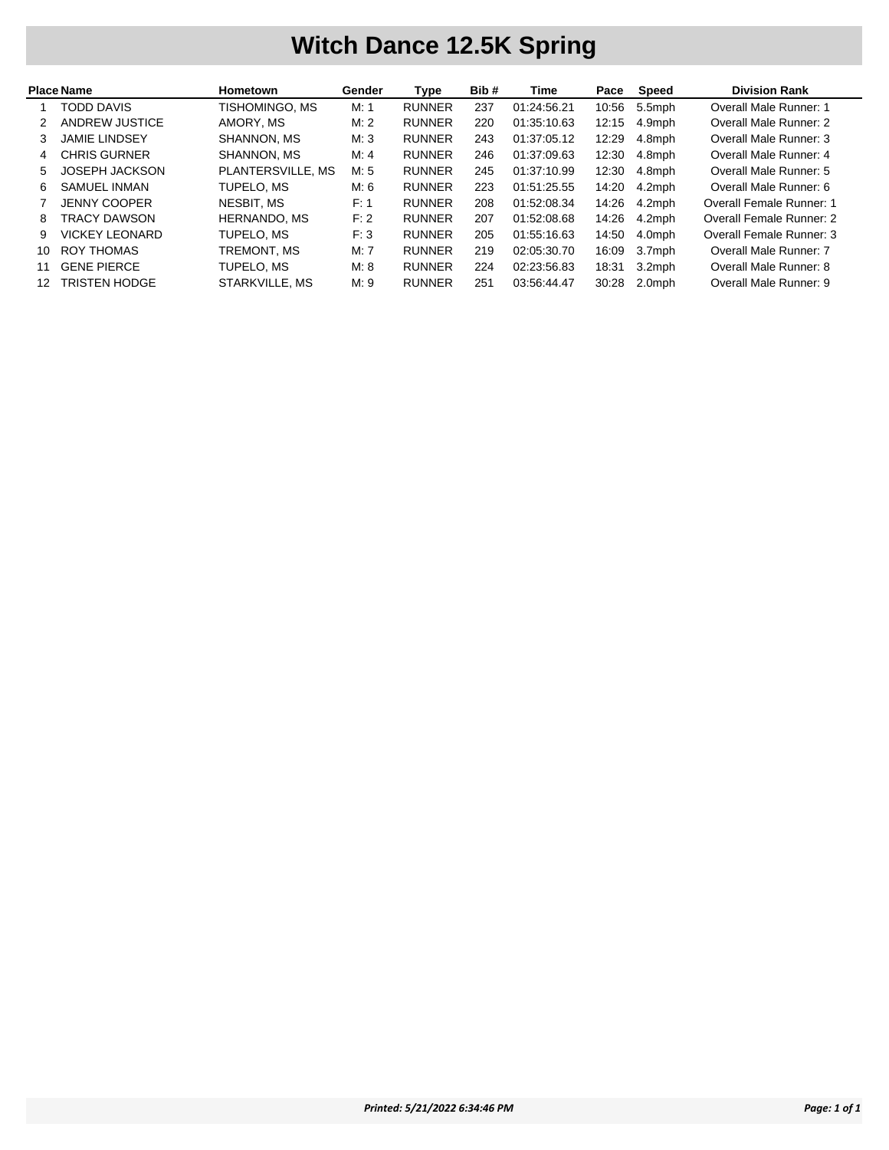### **Witch Dance 12.5K Spring**

| <b>Place Name</b> |                       | <b>Hometown</b>     | Gender | Type          | Bib# | Time        | Pace  | Speed     | <b>Division Rank</b>     |
|-------------------|-----------------------|---------------------|--------|---------------|------|-------------|-------|-----------|--------------------------|
|                   | <b>TODD DAVIS</b>     | TISHOMINGO, MS      | M: 1   | <b>RUNNER</b> | 237  | 01:24:56.21 | 10:56 | 5.5mph    | Overall Male Runner: 1   |
|                   | ANDREW JUSTICE        | AMORY, MS           | M:2    | <b>RUNNER</b> | 220  | 01:35:10.63 | 12:15 | 4.9mph    | Overall Male Runner: 2   |
| 3                 | <b>JAMIE LINDSEY</b>  | SHANNON, MS         | M:3    | <b>RUNNER</b> | 243  | 01:37:05.12 | 12:29 | 4.8mph    | Overall Male Runner: 3   |
| 4                 | <b>CHRIS GURNER</b>   | SHANNON, MS         | M: 4   | <b>RUNNER</b> | 246  | 01:37:09.63 | 12:30 | 4.8mph    | Overall Male Runner: 4   |
| 5                 | <b>JOSEPH JACKSON</b> | PLANTERSVILLE, MS   | M: 5   | <b>RUNNER</b> | 245  | 01:37:10.99 | 12:30 | 4.8mph    | Overall Male Runner: 5   |
| 6                 | <b>SAMUEL INMAN</b>   | TUPELO, MS          | M: 6   | <b>RUNNER</b> | 223  | 01:51:25.55 | 14:20 | 4.2mph    | Overall Male Runner: 6   |
|                   | <b>JENNY COOPER</b>   | NESBIT, MS          | F: 1   | <b>RUNNER</b> | 208  | 01:52:08.34 | 14:26 | 4.2mph    | Overall Female Runner: 1 |
| 8                 | TRACY DAWSON          | <b>HERNANDO, MS</b> | F: 2   | <b>RUNNER</b> | 207  | 01:52:08.68 | 14:26 | 4.2mph    | Overall Female Runner: 2 |
| 9                 | <b>VICKEY LEONARD</b> | TUPELO, MS          | F:3    | <b>RUNNER</b> | 205  | 01:55:16.63 | 14:50 | 4.0mph    | Overall Female Runner: 3 |
| 10.               | ROY THOMAS            | TREMONT, MS         | M: 7   | <b>RUNNER</b> | 219  | 02:05:30.70 | 16:09 | 3.7mph    | Overall Male Runner: 7   |
| 11                | <b>GENE PIERCE</b>    | TUPELO, MS          | M: 8   | <b>RUNNER</b> | 224  | 02:23:56.83 | 18:31 | $3.2$ mph | Overall Male Runner: 8   |
|                   | <b>TRISTEN HODGE</b>  | STARKVILLE, MS      | M:9    | <b>RUNNER</b> | 251  | 03:56:44.47 | 30:28 | 2.0mph    | Overall Male Runner: 9   |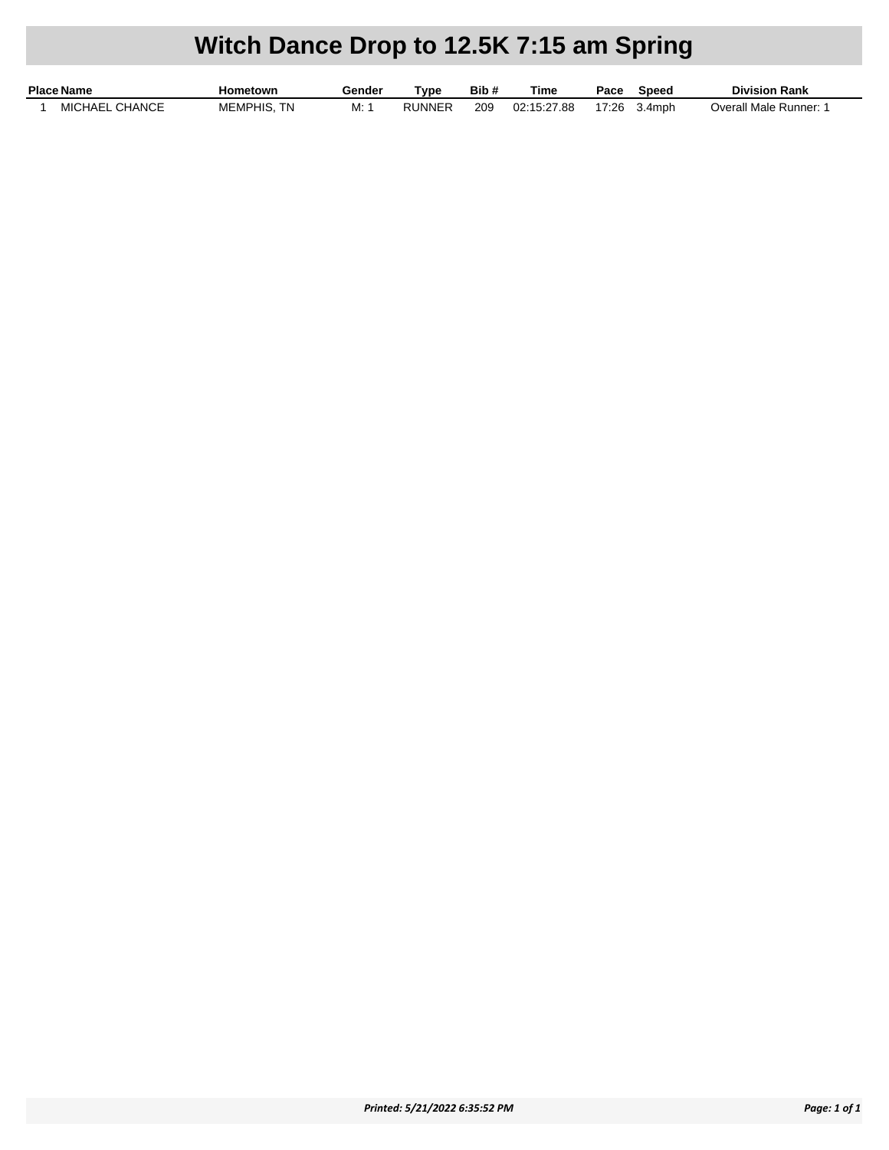## **Witch Dance Drop to 12.5K 7:15 am Spring**

| <b>Place Name</b>        | Hometown               | Gender | Tvpe   | Bib# | Time        | Pace  | Speed  | <b>Division Rank</b>   |
|--------------------------|------------------------|--------|--------|------|-------------|-------|--------|------------------------|
| CHANCE<br><b>MICHAEI</b> | <b>MEMPHIS.</b><br>TN. | IVI.   | RUNNEF | 209  | 02:15:27.88 | 17:26 | 3.4mph | Overall Male Runner: 1 |